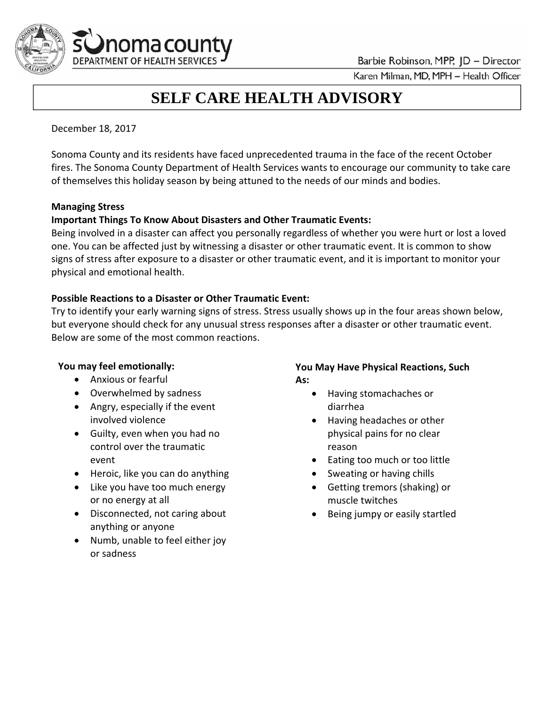Barbie Robinson, MPP, JD - Director



Karen Milman, MD, MPH - Health Officer

# **SELF CARE HEALTH ADVISORY**

December 18, 2017

 Sonoma County and its residents have faced unprecedented trauma in the face of the recent October fires. The Sonoma County Department of Health Services wants to encourage our community to take care of themselves this holiday season by being attuned to the needs of our minds and bodies.

#### **Managing Stress**

#### **Important Things To Know About Disasters and Other Traumatic Events:**

 Being involved in a disaster can affect you personally regardless of whether you were hurt or lost a loved one. You can be affected just by witnessing a disaster or other traumatic event. It is common to show signs of stress after exposure to a disaster or other traumatic event, and it is important to monitor your physical and emotional health.

#### **Possible Reactions to a Disaster or Other Traumatic Event:**

 Try to identify your early warning signs of stress. Stress usually shows up in the four areas shown below, but everyone should check for any unusual stress responses after a disaster or other traumatic event. Below are some of the most common reactions.

#### **You may feel emotionally:**

- Anxious or fearful **As:**
- 
- Angry, especially if the event diarrhea involved violence
- Guilty, even when you had no physical pains for no clear control over the traumatic reason event
- Heroic, like you can do anything state of the Sweating or having chills
- Like you have too much energy **Exercise Section Control** Getting tremors (shaking) or or no energy at all muscle twitches
- Disconnected, not caring about **Conserversity** Being jumpy or easily startled anything or anyone
- Numb, unable to feel either joy or sadness

# **You may feel emotionally: You May Have Physical Reactions, Such**

- Overwhelmed by sadness **Acceleration Control** of Having stomachaches or • Having stomachaches or
	- involved violence **Accord 20 and 20 and 20 and 20 and 20 and 20 and 20 and 20 and 20 and 20 and 20 and 20 and 20** physical pains for no clear
	- event **Example 20** and the control of the event of the Eating too much or too little
		- Sweating or having chills
		- Getting tremors (shaking) or muscle twitches
		- Being jumpy or easily startled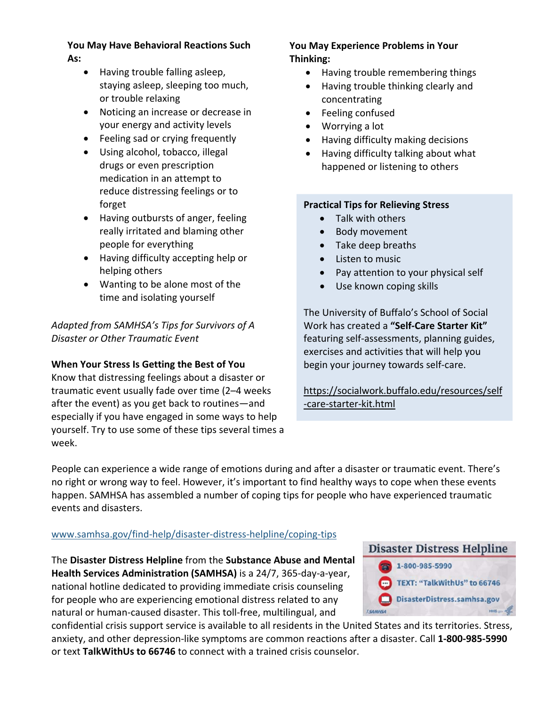# **You May Have Behavioral Reactions Such As:**

- Having trouble falling asleep, staying asleep, sleeping too much, or trouble relaxing
- Noticing an increase or decrease in your energy and activity levels
- Feeling sad or crying frequently
- Using alcohol, tobacco, illegal drugs or even prescription medication in an attempt to reduce distressing feelings or to forget
- Having outbursts of anger, feeling really irritated and blaming other people for everything
- Having difficulty accepting help or helping others
- Wanting to be alone most of the time and isolating yourself

 *Adapted from SAMHSA's Tips for Survivors of A Disaster or Other Traumatic Event*

# **When Your Stress Is Getting the Best of You**

 Know that distressing feelings about a disaster or traumatic event usually fade over time (2–4 weeks after the event) as you get back to routines—and especially if you have engaged in some ways to help yourself. Try to use some of these tips several times a week.

### **You May Experience Problems in Your Thinking:**

- Having trouble remembering things
- Having trouble thinking clearly and concentrating
- **•** Feeling confused
- Worrying a lot
- Having difficulty making decisions
- Having difficulty talking about what happened or listening to others

# **Practical Tips for Relieving Stress**

- Talk with others
- Body movement
- Take deep breaths
- Listen to music
- Pay attention to your physical self
- Use known coping skills

 The University of Buffalo's School of Social  Work has created a **"Self‐Care Starter Kit"** featuring self‐assessments, planning guides, exercises and activities that will help you begin your journey towards self‐care.

https://socialwork.buffalo.edu/resources/self ‐care‐starter‐kit.html

 People can experience a wide range of emotions during and after a disaster or traumatic event. There's no right or wrong way to feel. However, it's important to find healthy ways to cope when these events happen. SAMHSA has assembled a number of coping tips for people who have experienced traumatic events and disasters.

# www.samhsa.gov/find‐help/disaster‐distress‐helpline/coping‐tips

 The **Disaster Distress Helpline** from the **Substance Abuse and Mental Health Services Administration (SAMHSA)** is a 24/7, 365‐day‐a‐year, national hotline dedicated to providing immediate crisis counseling for people who are experiencing emotional distress related to any natural or human‐caused disaster. This toll‐free, multilingual, and

 confidential crisis support service is available to all residents in the United States and its territories. Stress, anxiety, and other depression‐like symptoms are common reactions after a disaster. Call **1‐800‐985‐5990**  or text **TalkWithUs to 66746** to connect with a trained crisis counselor.